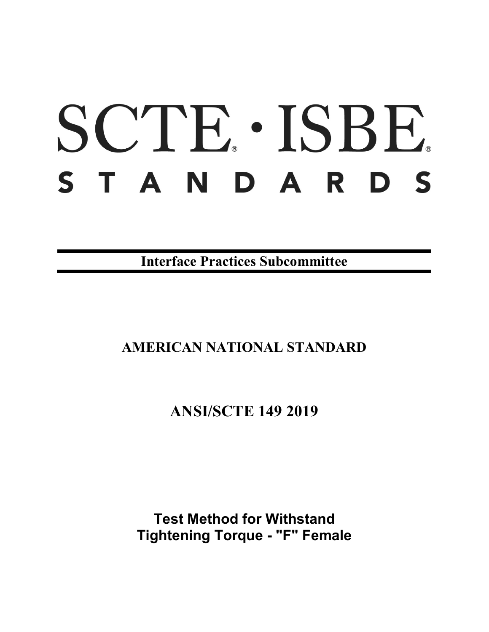# SCTE · ISBE. STANDARDS

**Interface Practices Subcommittee**

## **AMERICAN NATIONAL STANDARD**

## **ANSI/SCTE 149 2019**

**Test Method for Withstand Tightening Torque - "F" Female**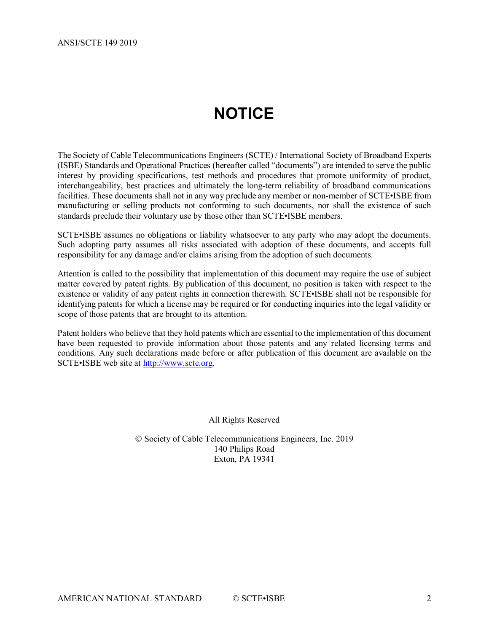## **NOTICE**

<span id="page-1-0"></span>The Society of Cable Telecommunications Engineers (SCTE) / International Society of Broadband Experts (ISBE) Standards and Operational Practices (hereafter called "documents") are intended to serve the public interest by providing specifications, test methods and procedures that promote uniformity of product, interchangeability, best practices and ultimately the long-term reliability of broadband communications facilities. These documents shall not in any way preclude any member or non-member of SCTE•ISBE from manufacturing or selling products not conforming to such documents, nor shall the existence of such standards preclude their voluntary use by those other than SCTE•ISBE members.

SCTE•ISBE assumes no obligations or liability whatsoever to any party who may adopt the documents. Such adopting party assumes all risks associated with adoption of these documents, and accepts full responsibility for any damage and/or claims arising from the adoption of such documents.

Attention is called to the possibility that implementation of this document may require the use of subject matter covered by patent rights. By publication of this document, no position is taken with respect to the existence or validity of any patent rights in connection therewith. SCTE•ISBE shall not be responsible for identifying patents for which a license may be required or for conducting inquiries into the legal validity or scope of those patents that are brought to its attention.

Patent holders who believe that they hold patents which are essential to the implementation of this document have been requested to provide information about those patents and any related licensing terms and conditions. Any such declarations made before or after publication of this document are available on the SCTE•ISBE web site at [http://www.scte.org.](http://www.scte.org/)

All Rights Reserved

© Society of Cable Telecommunications Engineers, Inc. 2019 140 Philips Road Exton, PA 19341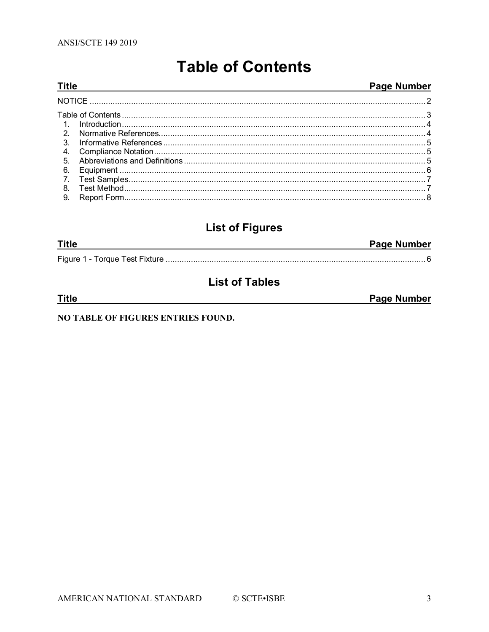<span id="page-2-0"></span>**Title** 

## **Table of Contents**

#### Page Number

| 3 <sub>1</sub> |  |
|----------------|--|
| 4.             |  |
| 5 <sub>1</sub> |  |
| 6.             |  |
| 7 <sub>1</sub> |  |
| 8.             |  |
| 9.             |  |

## **List of Figures**

| <b>Title</b> | <b>Page Number</b> |
|--------------|--------------------|
|              |                    |

## **List of Tables**

| <b>Title</b>                       | Page Number |
|------------------------------------|-------------|
|                                    |             |
| NO TABLE OF FIGURES ENTRIES FOUND. |             |

#### AMERICAN NATIONAL STANDARD © SCTE•ISBE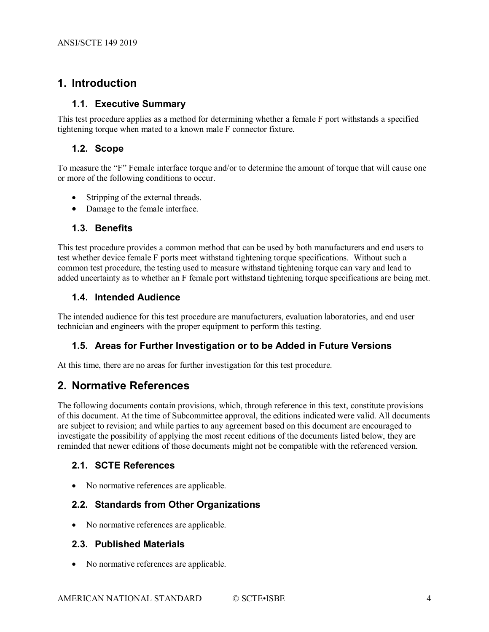### <span id="page-3-0"></span>**1. Introduction**

#### **1.1. Executive Summary**

This test procedure applies as a method for determining whether a female F port withstands a specified tightening torque when mated to a known male F connector fixture.

#### **1.2. Scope**

To measure the "F" Female interface torque and/or to determine the amount of torque that will cause one or more of the following conditions to occur.

- Stripping of the external threads.
- Damage to the female interface.

#### **1.3. Benefits**

This test procedure provides a common method that can be used by both manufacturers and end users to test whether device female F ports meet withstand tightening torque specifications. Without such a common test procedure, the testing used to measure withstand tightening torque can vary and lead to added uncertainty as to whether an F female port withstand tightening torque specifications are being met.

#### **1.4. Intended Audience**

The intended audience for this test procedure are manufacturers, evaluation laboratories, and end user technician and engineers with the proper equipment to perform this testing.

#### **1.5. Areas for Further Investigation or to be Added in Future Versions**

<span id="page-3-1"></span>At this time, there are no areas for further investigation for this test procedure.

#### **2. Normative References**

The following documents contain provisions, which, through reference in this text, constitute provisions of this document. At the time of Subcommittee approval, the editions indicated were valid. All documents are subject to revision; and while parties to any agreement based on this document are encouraged to investigate the possibility of applying the most recent editions of the documents listed below, they are reminded that newer editions of those documents might not be compatible with the referenced version.

#### **2.1. SCTE References**

• No normative references are applicable.

#### **2.2. Standards from Other Organizations**

• No normative references are applicable.

#### **2.3. Published Materials**

• No normative references are applicable.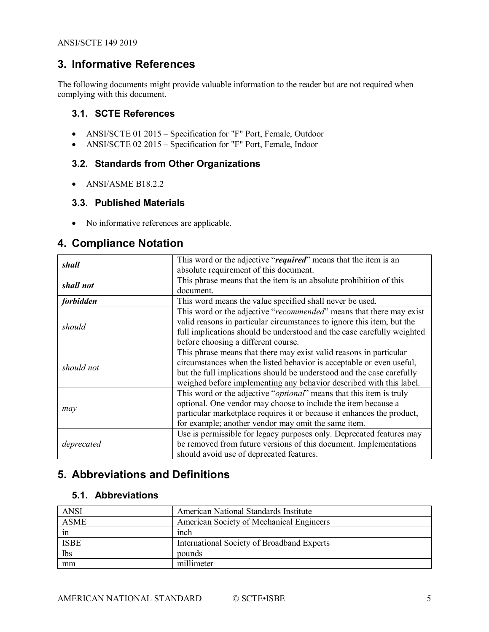#### <span id="page-4-0"></span>**3. Informative References**

The following documents might provide valuable information to the reader but are not required when complying with this document.

#### **3.1. SCTE References**

- ANSI/SCTE 01 2015 Specification for "F" Port, Female, Outdoor
- ANSI/SCTE 02 2015 Specification for "F" Port, Female, Indoor

#### **3.2. Standards from Other Organizations**

• ANSI/ASME B18.2.2

#### **3.3. Published Materials**

• No informative references are applicable.

#### <span id="page-4-1"></span>**4. Compliance Notation**

| shall      | This word or the adjective "required" means that the item is an              |  |  |
|------------|------------------------------------------------------------------------------|--|--|
|            | absolute requirement of this document.                                       |  |  |
|            | This phrase means that the item is an absolute prohibition of this           |  |  |
| shall not  | document.                                                                    |  |  |
| forbidden  | This word means the value specified shall never be used.                     |  |  |
|            | This word or the adjective "recommended" means that there may exist          |  |  |
|            | valid reasons in particular circumstances to ignore this item, but the       |  |  |
| should     | full implications should be understood and the case carefully weighted       |  |  |
|            | before choosing a different course.                                          |  |  |
|            | This phrase means that there may exist valid reasons in particular           |  |  |
| should not | circumstances when the listed behavior is acceptable or even useful,         |  |  |
|            | but the full implications should be understood and the case carefully        |  |  |
|            | weighed before implementing any behavior described with this label.          |  |  |
|            | This word or the adjective " <i>optional</i> " means that this item is truly |  |  |
|            | optional. One vendor may choose to include the item because a                |  |  |
| may        | particular marketplace requires it or because it enhances the product,       |  |  |
|            | for example; another vendor may omit the same item.                          |  |  |
|            | Use is permissible for legacy purposes only. Deprecated features may         |  |  |
| deprecated | be removed from future versions of this document. Implementations            |  |  |
|            | should avoid use of deprecated features.                                     |  |  |

#### <span id="page-4-2"></span>**5. Abbreviations and Definitions**

#### **5.1. Abbreviations**

| <b>ANSI</b> | American National Standards Institute      |
|-------------|--------------------------------------------|
| <b>ASME</b> | American Society of Mechanical Engineers   |
| 1n          | inch                                       |
| <b>ISBE</b> | International Society of Broadband Experts |
| lbs         | pounds                                     |
| mm          | millimeter                                 |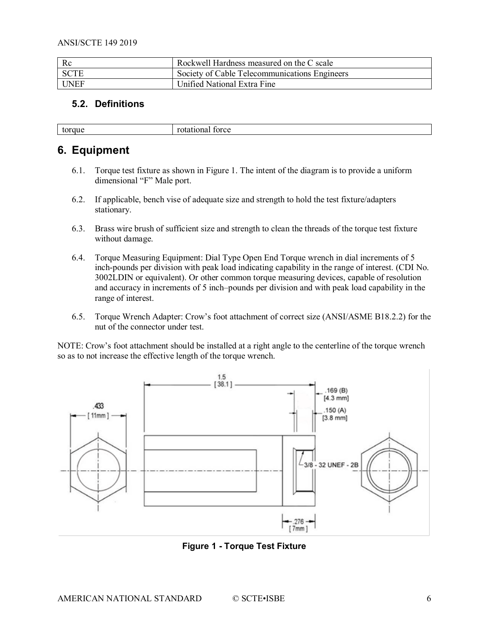| Rc          | Rockwell Hardness measured on the C scale     |
|-------------|-----------------------------------------------|
| I SCTE      | Society of Cable Telecommunications Engineers |
| <b>UNEF</b> | Unified National Extra Fine                   |

#### **5.2. Definitions**

| $ -$ | ັ |
|------|---|
|      |   |

#### <span id="page-5-0"></span>**6. Equipment**

- 6.1. Torque test fixture as shown in Figure 1. The intent of the diagram is to provide a uniform dimensional "F" Male port.
- 6.2. If applicable, bench vise of adequate size and strength to hold the test fixture/adapters stationary.
- 6.3. Brass wire brush of sufficient size and strength to clean the threads of the torque test fixture without damage.
- 6.4. Torque Measuring Equipment: Dial Type Open End Torque wrench in dial increments of 5 inch-pounds per division with peak load indicating capability in the range of interest. (CDI No. 3002LDIN or equivalent). Or other common torque measuring devices, capable of resolution and accuracy in increments of 5 inch–pounds per division and with peak load capability in the range of interest.
- 6.5. Torque Wrench Adapter: Crow's foot attachment of correct size (ANSI/ASME B18.2.2) for the nut of the connector under test.

NOTE: Crow's foot attachment should be installed at a right angle to the centerline of the torque wrench so as to not increase the effective length of the torque wrench.



<span id="page-5-1"></span>**Figure 1 - Torque Test Fixture**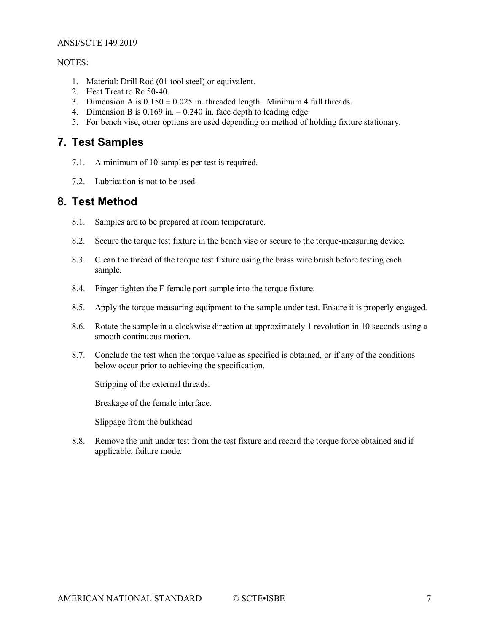#### ANSI/SCTE 149 2019

#### NOTES:

- 1. Material: Drill Rod (01 tool steel) or equivalent.
- 2. Heat Treat to Rc 50-40.
- 3. Dimension A is  $0.150 \pm 0.025$  in. threaded length. Minimum 4 full threads.
- 4. Dimension B is 0.169 in. 0.240 in. face depth to leading edge
- 5. For bench vise, other options are used depending on method of holding fixture stationary.

#### <span id="page-6-0"></span>**7. Test Samples**

- 7.1. A minimum of 10 samples per test is required.
- 7.2. Lubrication is not to be used.

#### <span id="page-6-1"></span>**8. Test Method**

- 8.1. Samples are to be prepared at room temperature.
- 8.2. Secure the torque test fixture in the bench vise or secure to the torque-measuring device.
- 8.3. Clean the thread of the torque test fixture using the brass wire brush before testing each sample.
- 8.4. Finger tighten the F female port sample into the torque fixture.
- 8.5. Apply the torque measuring equipment to the sample under test. Ensure it is properly engaged.
- 8.6. Rotate the sample in a clockwise direction at approximately 1 revolution in 10 seconds using a smooth continuous motion.
- 8.7. Conclude the test when the torque value as specified is obtained, or if any of the conditions below occur prior to achieving the specification.

Stripping of the external threads.

Breakage of the female interface.

Slippage from the bulkhead

8.8. Remove the unit under test from the test fixture and record the torque force obtained and if applicable, failure mode.